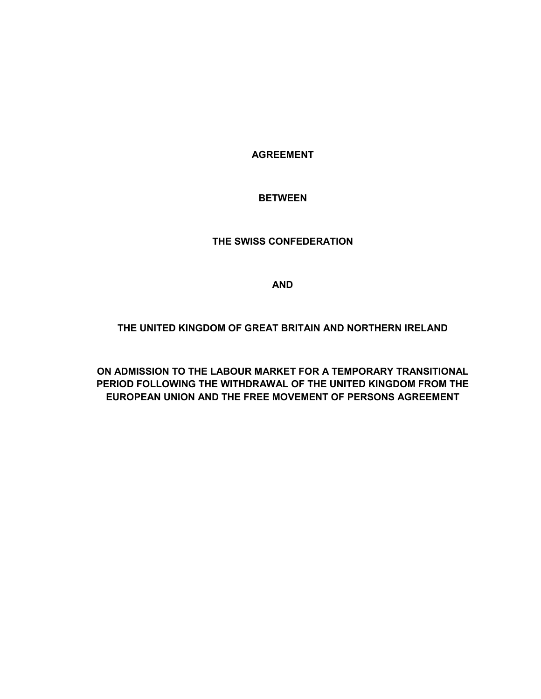**AGREEMENT** 

## **BETWEEN**

#### **THE SWISS CONFEDERATION**

**AND**

#### **THE UNITED KINGDOM OF GREAT BRITAIN AND NORTHERN IRELAND**

**ON ADMISSION TO THE LABOUR MARKET FOR A TEMPORARY TRANSITIONAL PERIOD FOLLOWING THE WITHDRAWAL OF THE UNITED KINGDOM FROM THE EUROPEAN UNION AND THE FREE MOVEMENT OF PERSONS AGREEMENT**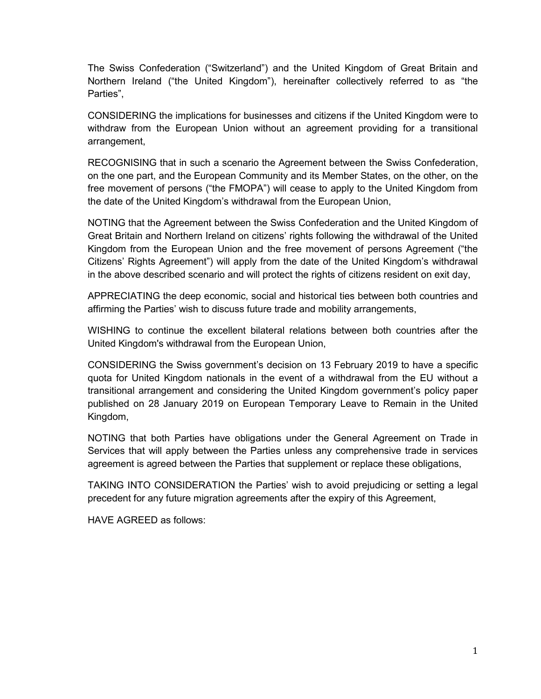The Swiss Confederation ("Switzerland") and the United Kingdom of Great Britain and Northern Ireland ("the United Kingdom"), hereinafter collectively referred to as "the Parties",

CONSIDERING the implications for businesses and citizens if the United Kingdom were to withdraw from the European Union without an agreement providing for a transitional arrangement,

RECOGNISING that in such a scenario the Agreement between the Swiss Confederation, on the one part, and the European Community and its Member States, on the other, on the free movement of persons ("the FMOPA") will cease to apply to the United Kingdom from the date of the United Kingdom's withdrawal from the European Union,

NOTING that the Agreement between the Swiss Confederation and the United Kingdom of Great Britain and Northern Ireland on citizens' rights following the withdrawal of the United Kingdom from the European Union and the free movement of persons Agreement ("the Citizens' Rights Agreement") will apply from the date of the United Kingdom's withdrawal in the above described scenario and will protect the rights of citizens resident on exit day,

APPRECIATING the deep economic, social and historical ties between both countries and affirming the Parties' wish to discuss future trade and mobility arrangements,

WISHING to continue the excellent bilateral relations between both countries after the United Kingdom's withdrawal from the European Union,

CONSIDERING the Swiss government's decision on 13 February 2019 to have a specific quota for United Kingdom nationals in the event of a withdrawal from the EU without a transitional arrangement and considering the United Kingdom government's policy paper published on 28 January 2019 on European Temporary Leave to Remain in the United Kingdom,

NOTING that both Parties have obligations under the General Agreement on Trade in Services that will apply between the Parties unless any comprehensive trade in services agreement is agreed between the Parties that supplement or replace these obligations,

TAKING INTO CONSIDERATION the Parties' wish to avoid prejudicing or setting a legal precedent for any future migration agreements after the expiry of this Agreement,

HAVE AGREED as follows: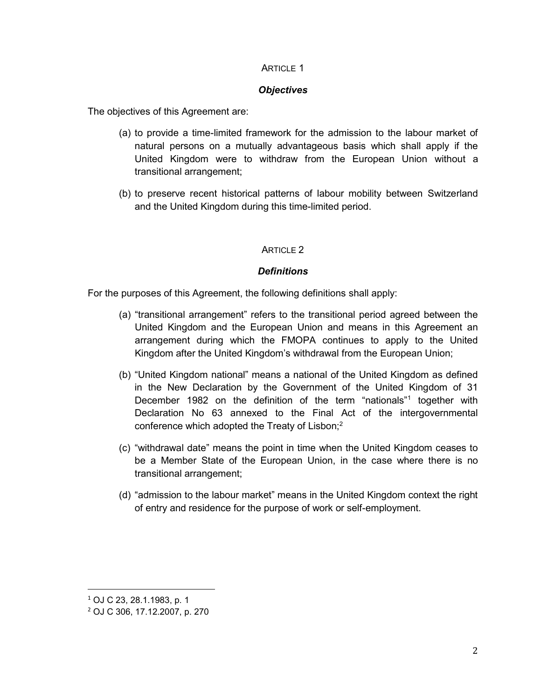#### **ARTICLE 1**

#### *Objectives*

The objectives of this Agreement are:

- (a) to provide a time-limited framework for the admission to the labour market of natural persons on a mutually advantageous basis which shall apply if the United Kingdom were to withdraw from the European Union without a transitional arrangement;
- (b) to preserve recent historical patterns of labour mobility between Switzerland and the United Kingdom during this time-limited period.

## ARTICLE 2

## *Definitions*

For the purposes of this Agreement, the following definitions shall apply:

- (a) "transitional arrangement" refers to the transitional period agreed between the United Kingdom and the European Union and means in this Agreement an arrangement during which the FMOPA continues to apply to the United Kingdom after the United Kingdom's withdrawal from the European Union;
- (b) "United Kingdom national" means a national of the United Kingdom as defined in the New Declaration by the Government of the United Kingdom of 31 December 1982 on the definition of the term "nationals"<sup>1</sup> together with Declaration No 63 annexed to the Final Act of the intergovernmental conference which adopted the Treaty of Lisbon; $<sup>2</sup>$ </sup>
- (c) "withdrawal date" means the point in time when the United Kingdom ceases to be a Member State of the European Union, in the case where there is no transitional arrangement;
- (d) "admission to the labour market" means in the United Kingdom context the right of entry and residence for the purpose of work or self-employment.

 $\overline{a}$ 

<sup>1</sup> OJ C 23, 28.1.1983, p. 1

<sup>2</sup> OJ C 306, 17.12.2007, p. 270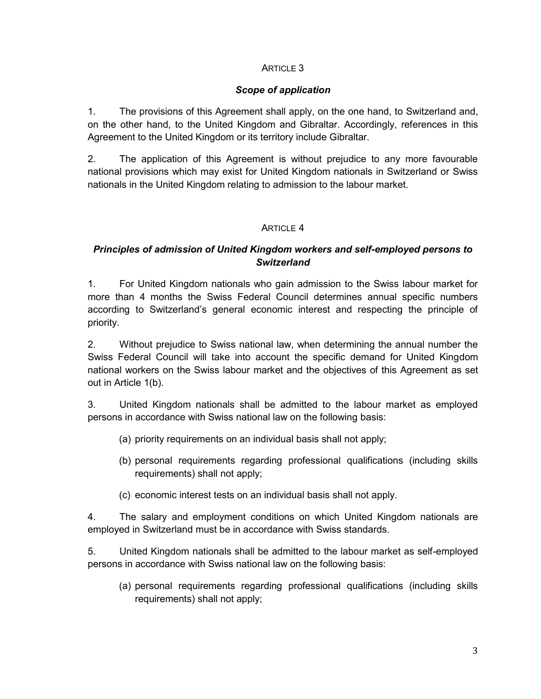# ARTICLE 3

## *Scope of application*

1. The provisions of this Agreement shall apply, on the one hand, to Switzerland and, on the other hand, to the United Kingdom and Gibraltar. Accordingly, references in this Agreement to the United Kingdom or its territory include Gibraltar.

2. The application of this Agreement is without prejudice to any more favourable national provisions which may exist for United Kingdom nationals in Switzerland or Swiss nationals in the United Kingdom relating to admission to the labour market.

## ARTICLE 4

# *Principles of admission of United Kingdom workers and self-employed persons to Switzerland*

1. For United Kingdom nationals who gain admission to the Swiss labour market for more than 4 months the Swiss Federal Council determines annual specific numbers according to Switzerland's general economic interest and respecting the principle of priority.

2. Without prejudice to Swiss national law, when determining the annual number the Swiss Federal Council will take into account the specific demand for United Kingdom national workers on the Swiss labour market and the objectives of this Agreement as set out in Article 1(b).

3. United Kingdom nationals shall be admitted to the labour market as employed persons in accordance with Swiss national law on the following basis:

- (a) priority requirements on an individual basis shall not apply;
- (b) personal requirements regarding professional qualifications (including skills requirements) shall not apply;
- (c) economic interest tests on an individual basis shall not apply.

4. The salary and employment conditions on which United Kingdom nationals are employed in Switzerland must be in accordance with Swiss standards.

5. United Kingdom nationals shall be admitted to the labour market as self-employed persons in accordance with Swiss national law on the following basis:

(a) personal requirements regarding professional qualifications (including skills requirements) shall not apply;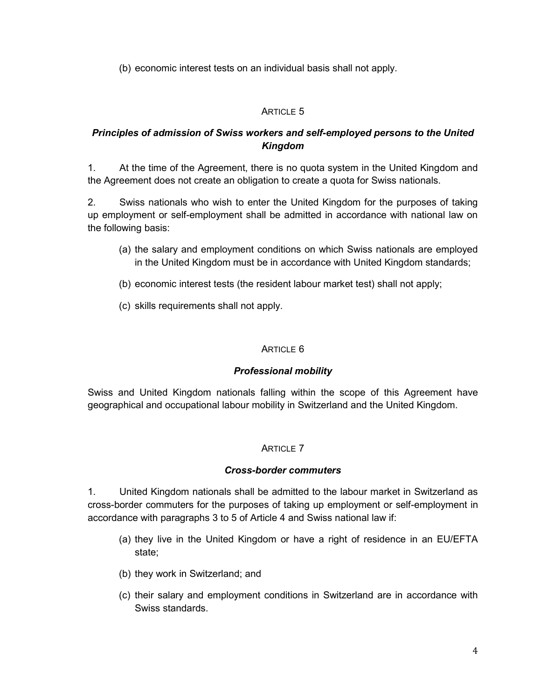(b) economic interest tests on an individual basis shall not apply.

# ARTICLE 5

# *Principles of admission of Swiss workers and self-employed persons to the United Kingdom*

1. At the time of the Agreement, there is no quota system in the United Kingdom and the Agreement does not create an obligation to create a quota for Swiss nationals.

2. Swiss nationals who wish to enter the United Kingdom for the purposes of taking up employment or self-employment shall be admitted in accordance with national law on the following basis:

- (a) the salary and employment conditions on which Swiss nationals are employed in the United Kingdom must be in accordance with United Kingdom standards;
- (b) economic interest tests (the resident labour market test) shall not apply;
- (c) skills requirements shall not apply.

# ARTICLE 6

# *Professional mobility*

Swiss and United Kingdom nationals falling within the scope of this Agreement have geographical and occupational labour mobility in Switzerland and the United Kingdom.

# **ARTICLE 7**

## *Cross-border commuters*

1. United Kingdom nationals shall be admitted to the labour market in Switzerland as cross-border commuters for the purposes of taking up employment or self-employment in accordance with paragraphs 3 to 5 of Article 4 and Swiss national law if:

- (a) they live in the United Kingdom or have a right of residence in an EU/EFTA state;
- (b) they work in Switzerland; and
- (c) their salary and employment conditions in Switzerland are in accordance with Swiss standards.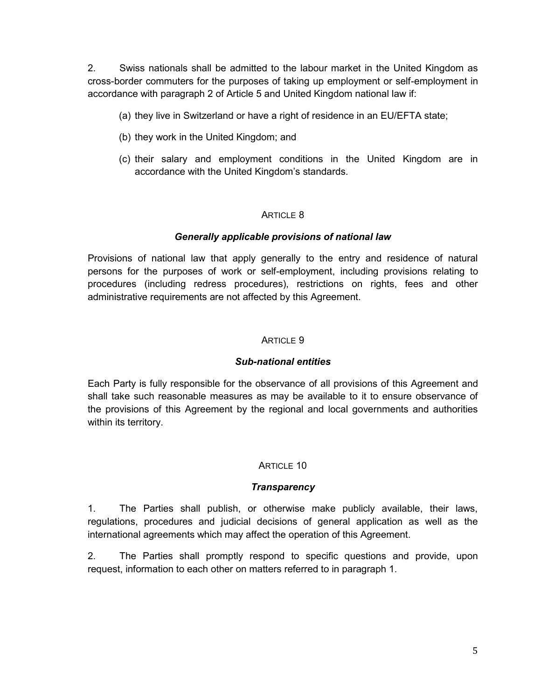2. Swiss nationals shall be admitted to the labour market in the United Kingdom as cross-border commuters for the purposes of taking up employment or self-employment in accordance with paragraph 2 of Article 5 and United Kingdom national law if:

- (a) they live in Switzerland or have a right of residence in an EU/EFTA state;
- (b) they work in the United Kingdom; and
- (c) their salary and employment conditions in the United Kingdom are in accordance with the United Kingdom's standards.

#### ARTICLE 8

#### *Generally applicable provisions of national law*

Provisions of national law that apply generally to the entry and residence of natural persons for the purposes of work or self-employment, including provisions relating to procedures (including redress procedures), restrictions on rights, fees and other administrative requirements are not affected by this Agreement.

#### ARTICLE 9

#### *Sub-national entities*

Each Party is fully responsible for the observance of all provisions of this Agreement and shall take such reasonable measures as may be available to it to ensure observance of the provisions of this Agreement by the regional and local governments and authorities within its territory.

#### ARTICLE 10

#### *Transparency*

1. The Parties shall publish, or otherwise make publicly available, their laws, regulations, procedures and judicial decisions of general application as well as the international agreements which may affect the operation of this Agreement.

2. The Parties shall promptly respond to specific questions and provide, upon request, information to each other on matters referred to in paragraph 1.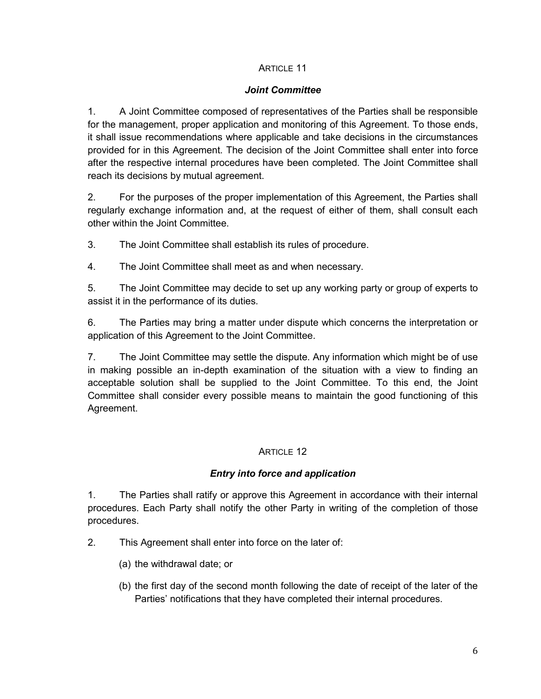## ARTICLE 11

## *Joint Committee*

1. A Joint Committee composed of representatives of the Parties shall be responsible for the management, proper application and monitoring of this Agreement. To those ends, it shall issue recommendations where applicable and take decisions in the circumstances provided for in this Agreement. The decision of the Joint Committee shall enter into force after the respective internal procedures have been completed. The Joint Committee shall reach its decisions by mutual agreement.

2. For the purposes of the proper implementation of this Agreement, the Parties shall regularly exchange information and, at the request of either of them, shall consult each other within the Joint Committee.

3. The Joint Committee shall establish its rules of procedure.

4. The Joint Committee shall meet as and when necessary.

5. The Joint Committee may decide to set up any working party or group of experts to assist it in the performance of its duties.

6. The Parties may bring a matter under dispute which concerns the interpretation or application of this Agreement to the Joint Committee.

7. The Joint Committee may settle the dispute. Any information which might be of use in making possible an in-depth examination of the situation with a view to finding an acceptable solution shall be supplied to the Joint Committee. To this end, the Joint Committee shall consider every possible means to maintain the good functioning of this Agreement.

# ARTICLE 12

# *Entry into force and application*

1. The Parties shall ratify or approve this Agreement in accordance with their internal procedures. Each Party shall notify the other Party in writing of the completion of those procedures.

2. This Agreement shall enter into force on the later of:

- (a) the withdrawal date; or
- (b) the first day of the second month following the date of receipt of the later of the Parties' notifications that they have completed their internal procedures.